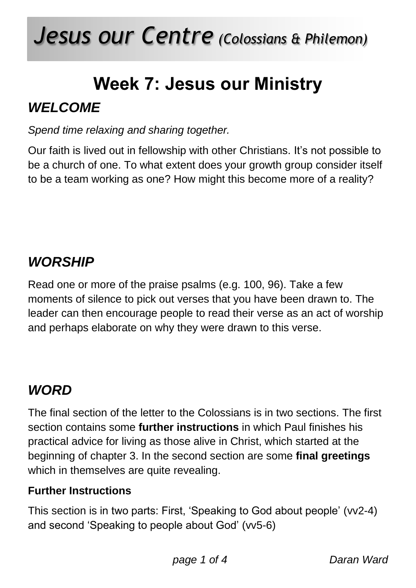# *Jesus our Centre (Colossians & Philemon)*

## **Week 7: Jesus our Ministry**

## *WELCOME*

*Spend time relaxing and sharing together.*

Our faith is lived out in fellowship with other Christians. It's not possible to be a church of one. To what extent does your growth group consider itself to be a team working as one? How might this become more of a reality?

## *WORSHIP*

Read one or more of the praise psalms (e.g. 100, 96). Take a few moments of silence to pick out verses that you have been drawn to. The leader can then encourage people to read their verse as an act of worship and perhaps elaborate on why they were drawn to this verse.

## *WORD*

The final section of the letter to the Colossians is in two sections. The first section contains some **further instructions** in which Paul finishes his practical advice for living as those alive in Christ, which started at the beginning of chapter 3. In the second section are some **final greetings** which in themselves are quite revealing.

#### **Further Instructions**

This section is in two parts: First, 'Speaking to God about people' (vv2-4) and second 'Speaking to people about God' (vv5-6)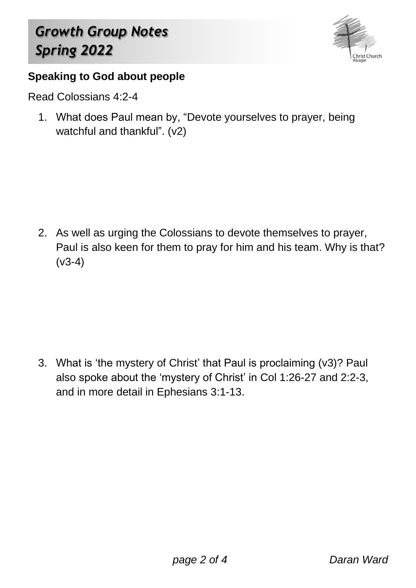## *Growth Group Notes Spring 2022*



#### **Speaking to God about people**

Read Colossians 4:2-4

1. What does Paul mean by, "Devote yourselves to prayer, being watchful and thankful". (v2)

2. As well as urging the Colossians to devote themselves to prayer, Paul is also keen for them to pray for him and his team. Why is that? (v3-4)

3. What is 'the mystery of Christ' that Paul is proclaiming (v3)? Paul also spoke about the 'mystery of Christ' in Col 1:26-27 and 2:2-3, and in more detail in Ephesians 3:1-13.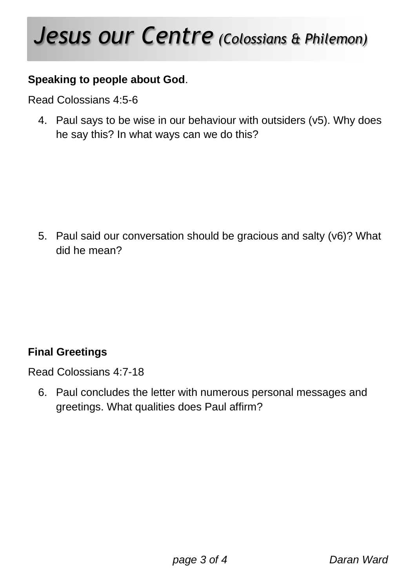## *Jesus our Centre (Colossians & Philemon)*

#### **Speaking to people about God**.

Read Colossians 4:5-6

4. Paul says to be wise in our behaviour with outsiders (v5). Why does he say this? In what ways can we do this?

5. Paul said our conversation should be gracious and salty (v6)? What did he mean?

#### **Final Greetings**

Read Colossians 4:7-18

6. Paul concludes the letter with numerous personal messages and greetings. What qualities does Paul affirm?